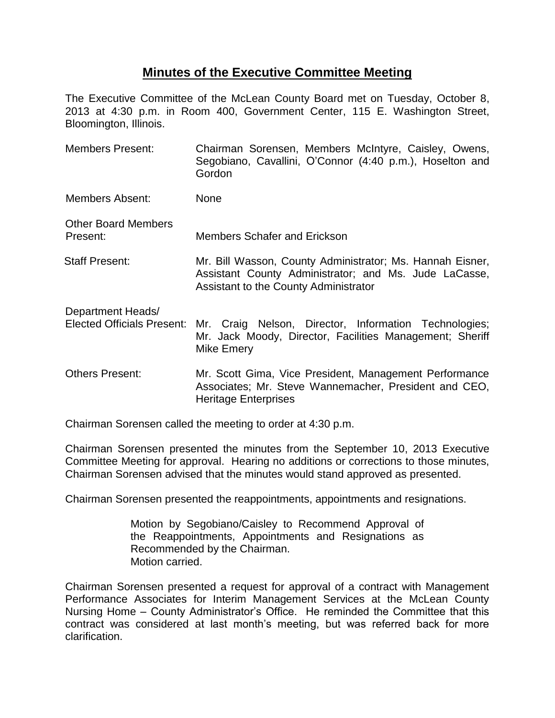# **Minutes of the Executive Committee Meeting**

The Executive Committee of the McLean County Board met on Tuesday, October 8, 2013 at 4:30 p.m. in Room 400, Government Center, 115 E. Washington Street, Bloomington, Illinois.

Members Present: Chairman Sorensen, Members McIntyre, Caisley, Owens, Segobiano, Cavallini, O'Connor (4:40 p.m.), Hoselton and Gordon Members Absent: None Other Board Members Present: Members Schafer and Erickson Staff Present: Mr. Bill Wasson, County Administrator; Ms. Hannah Eisner, Assistant County Administrator; and Ms. Jude LaCasse, Assistant to the County Administrator Department Heads/ Elected Officials Present: Mr. Craig Nelson, Director, Information Technologies; Mr. Jack Moody, Director, Facilities Management; Sheriff Mike Emery Others Present: Mr. Scott Gima, Vice President, Management Performance Associates; Mr. Steve Wannemacher, President and CEO, Heritage Enterprises

Chairman Sorensen called the meeting to order at 4:30 p.m.

Chairman Sorensen presented the minutes from the September 10, 2013 Executive Committee Meeting for approval. Hearing no additions or corrections to those minutes, Chairman Sorensen advised that the minutes would stand approved as presented.

Chairman Sorensen presented the reappointments, appointments and resignations.

Motion by Segobiano/Caisley to Recommend Approval of the Reappointments, Appointments and Resignations as Recommended by the Chairman. Motion carried.

Chairman Sorensen presented a request for approval of a contract with Management Performance Associates for Interim Management Services at the McLean County Nursing Home – County Administrator's Office. He reminded the Committee that this contract was considered at last month's meeting, but was referred back for more clarification.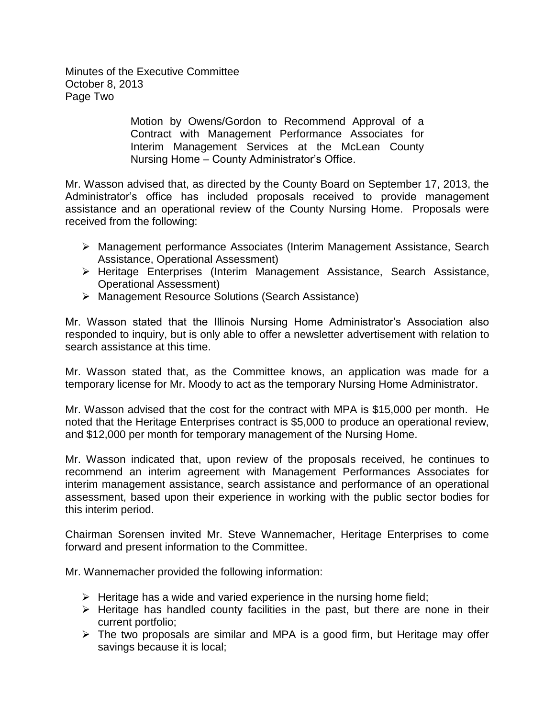Minutes of the Executive Committee October 8, 2013 Page Two

> Motion by Owens/Gordon to Recommend Approval of a Contract with Management Performance Associates for Interim Management Services at the McLean County Nursing Home – County Administrator's Office.

Mr. Wasson advised that, as directed by the County Board on September 17, 2013, the Administrator's office has included proposals received to provide management assistance and an operational review of the County Nursing Home. Proposals were received from the following:

- Management performance Associates (Interim Management Assistance, Search Assistance, Operational Assessment)
- Heritage Enterprises (Interim Management Assistance, Search Assistance, Operational Assessment)
- Management Resource Solutions (Search Assistance)

Mr. Wasson stated that the Illinois Nursing Home Administrator's Association also responded to inquiry, but is only able to offer a newsletter advertisement with relation to search assistance at this time.

Mr. Wasson stated that, as the Committee knows, an application was made for a temporary license for Mr. Moody to act as the temporary Nursing Home Administrator.

Mr. Wasson advised that the cost for the contract with MPA is \$15,000 per month. He noted that the Heritage Enterprises contract is \$5,000 to produce an operational review, and \$12,000 per month for temporary management of the Nursing Home.

Mr. Wasson indicated that, upon review of the proposals received, he continues to recommend an interim agreement with Management Performances Associates for interim management assistance, search assistance and performance of an operational assessment, based upon their experience in working with the public sector bodies for this interim period.

Chairman Sorensen invited Mr. Steve Wannemacher, Heritage Enterprises to come forward and present information to the Committee.

Mr. Wannemacher provided the following information:

- $\triangleright$  Heritage has a wide and varied experience in the nursing home field;
- $\triangleright$  Heritage has handled county facilities in the past, but there are none in their current portfolio;
- $\triangleright$  The two proposals are similar and MPA is a good firm, but Heritage may offer savings because it is local;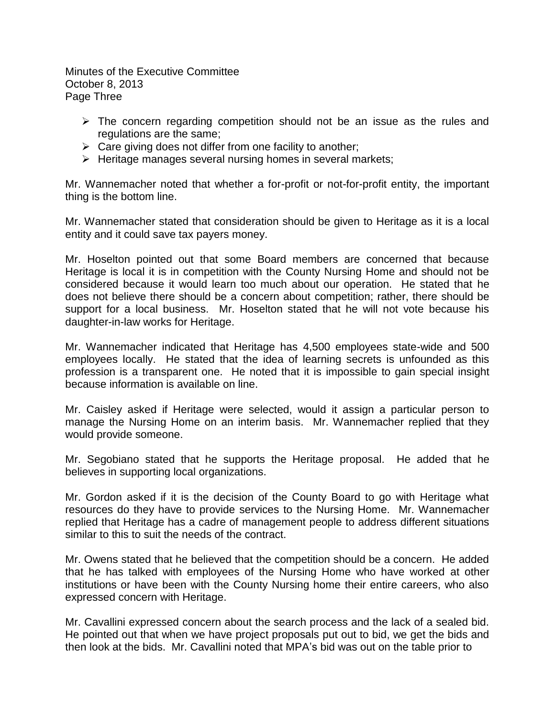Minutes of the Executive Committee October 8, 2013 Page Three

- $\triangleright$  The concern regarding competition should not be an issue as the rules and regulations are the same;
- $\triangleright$  Care giving does not differ from one facility to another;
- $\triangleright$  Heritage manages several nursing homes in several markets;

Mr. Wannemacher noted that whether a for-profit or not-for-profit entity, the important thing is the bottom line.

Mr. Wannemacher stated that consideration should be given to Heritage as it is a local entity and it could save tax payers money.

Mr. Hoselton pointed out that some Board members are concerned that because Heritage is local it is in competition with the County Nursing Home and should not be considered because it would learn too much about our operation. He stated that he does not believe there should be a concern about competition; rather, there should be support for a local business. Mr. Hoselton stated that he will not vote because his daughter-in-law works for Heritage.

Mr. Wannemacher indicated that Heritage has 4,500 employees state-wide and 500 employees locally. He stated that the idea of learning secrets is unfounded as this profession is a transparent one. He noted that it is impossible to gain special insight because information is available on line.

Mr. Caisley asked if Heritage were selected, would it assign a particular person to manage the Nursing Home on an interim basis. Mr. Wannemacher replied that they would provide someone.

Mr. Segobiano stated that he supports the Heritage proposal. He added that he believes in supporting local organizations.

Mr. Gordon asked if it is the decision of the County Board to go with Heritage what resources do they have to provide services to the Nursing Home. Mr. Wannemacher replied that Heritage has a cadre of management people to address different situations similar to this to suit the needs of the contract.

Mr. Owens stated that he believed that the competition should be a concern. He added that he has talked with employees of the Nursing Home who have worked at other institutions or have been with the County Nursing home their entire careers, who also expressed concern with Heritage.

Mr. Cavallini expressed concern about the search process and the lack of a sealed bid. He pointed out that when we have project proposals put out to bid, we get the bids and then look at the bids. Mr. Cavallini noted that MPA's bid was out on the table prior to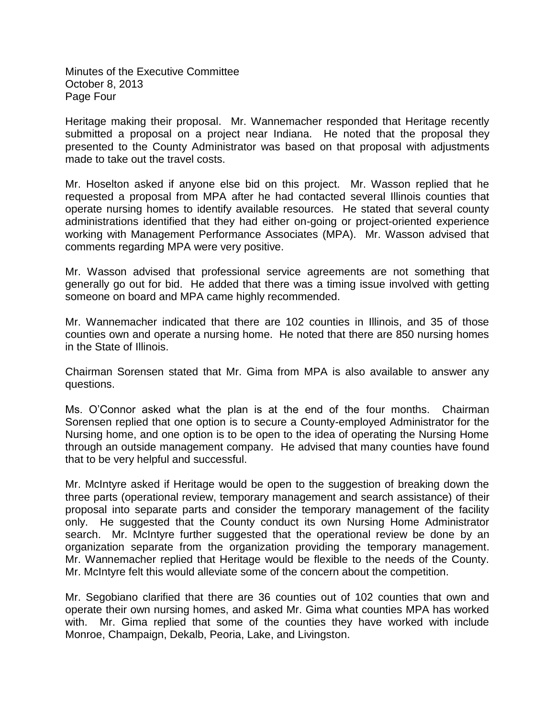Minutes of the Executive Committee October 8, 2013 Page Four

Heritage making their proposal. Mr. Wannemacher responded that Heritage recently submitted a proposal on a project near Indiana. He noted that the proposal they presented to the County Administrator was based on that proposal with adjustments made to take out the travel costs.

Mr. Hoselton asked if anyone else bid on this project. Mr. Wasson replied that he requested a proposal from MPA after he had contacted several Illinois counties that operate nursing homes to identify available resources. He stated that several county administrations identified that they had either on-going or project-oriented experience working with Management Performance Associates (MPA). Mr. Wasson advised that comments regarding MPA were very positive.

Mr. Wasson advised that professional service agreements are not something that generally go out for bid. He added that there was a timing issue involved with getting someone on board and MPA came highly recommended.

Mr. Wannemacher indicated that there are 102 counties in Illinois, and 35 of those counties own and operate a nursing home. He noted that there are 850 nursing homes in the State of Illinois.

Chairman Sorensen stated that Mr. Gima from MPA is also available to answer any questions.

Ms. O'Connor asked what the plan is at the end of the four months. Chairman Sorensen replied that one option is to secure a County-employed Administrator for the Nursing home, and one option is to be open to the idea of operating the Nursing Home through an outside management company. He advised that many counties have found that to be very helpful and successful.

Mr. McIntyre asked if Heritage would be open to the suggestion of breaking down the three parts (operational review, temporary management and search assistance) of their proposal into separate parts and consider the temporary management of the facility only. He suggested that the County conduct its own Nursing Home Administrator search. Mr. McIntyre further suggested that the operational review be done by an organization separate from the organization providing the temporary management. Mr. Wannemacher replied that Heritage would be flexible to the needs of the County. Mr. McIntyre felt this would alleviate some of the concern about the competition.

Mr. Segobiano clarified that there are 36 counties out of 102 counties that own and operate their own nursing homes, and asked Mr. Gima what counties MPA has worked with. Mr. Gima replied that some of the counties they have worked with include Monroe, Champaign, Dekalb, Peoria, Lake, and Livingston.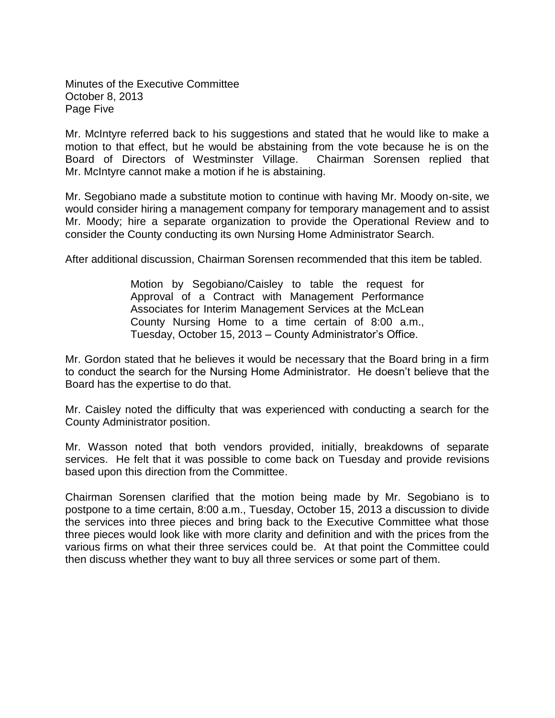Minutes of the Executive Committee October 8, 2013 Page Five

Mr. McIntyre referred back to his suggestions and stated that he would like to make a motion to that effect, but he would be abstaining from the vote because he is on the Board of Directors of Westminster Village. Chairman Sorensen replied that Mr. McIntyre cannot make a motion if he is abstaining.

Mr. Segobiano made a substitute motion to continue with having Mr. Moody on-site, we would consider hiring a management company for temporary management and to assist Mr. Moody; hire a separate organization to provide the Operational Review and to consider the County conducting its own Nursing Home Administrator Search.

After additional discussion, Chairman Sorensen recommended that this item be tabled.

Motion by Segobiano/Caisley to table the request for Approval of a Contract with Management Performance Associates for Interim Management Services at the McLean County Nursing Home to a time certain of 8:00 a.m., Tuesday, October 15, 2013 – County Administrator's Office.

Mr. Gordon stated that he believes it would be necessary that the Board bring in a firm to conduct the search for the Nursing Home Administrator. He doesn't believe that the Board has the expertise to do that.

Mr. Caisley noted the difficulty that was experienced with conducting a search for the County Administrator position.

Mr. Wasson noted that both vendors provided, initially, breakdowns of separate services. He felt that it was possible to come back on Tuesday and provide revisions based upon this direction from the Committee.

Chairman Sorensen clarified that the motion being made by Mr. Segobiano is to postpone to a time certain, 8:00 a.m., Tuesday, October 15, 2013 a discussion to divide the services into three pieces and bring back to the Executive Committee what those three pieces would look like with more clarity and definition and with the prices from the various firms on what their three services could be. At that point the Committee could then discuss whether they want to buy all three services or some part of them.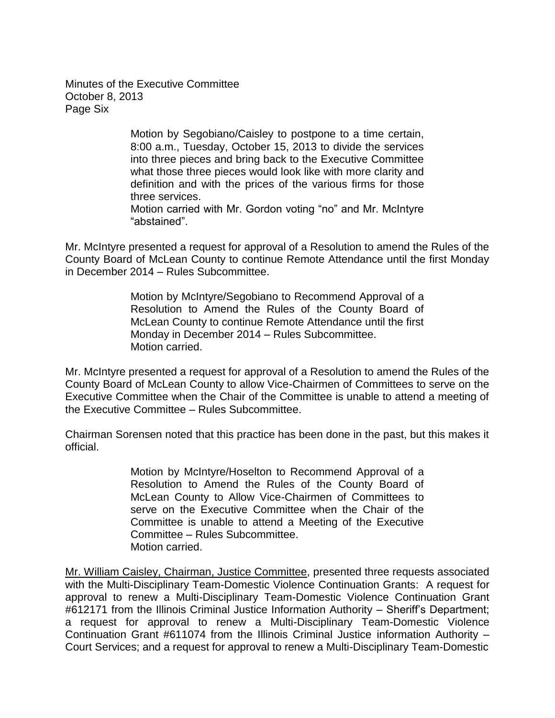Minutes of the Executive Committee October 8, 2013 Page Six

> Motion by Segobiano/Caisley to postpone to a time certain, 8:00 a.m., Tuesday, October 15, 2013 to divide the services into three pieces and bring back to the Executive Committee what those three pieces would look like with more clarity and definition and with the prices of the various firms for those three services.

> Motion carried with Mr. Gordon voting "no" and Mr. McIntyre "abstained".

Mr. McIntyre presented a request for approval of a Resolution to amend the Rules of the County Board of McLean County to continue Remote Attendance until the first Monday in December 2014 – Rules Subcommittee.

> Motion by McIntyre/Segobiano to Recommend Approval of a Resolution to Amend the Rules of the County Board of McLean County to continue Remote Attendance until the first Monday in December 2014 – Rules Subcommittee. Motion carried.

Mr. McIntyre presented a request for approval of a Resolution to amend the Rules of the County Board of McLean County to allow Vice-Chairmen of Committees to serve on the Executive Committee when the Chair of the Committee is unable to attend a meeting of the Executive Committee – Rules Subcommittee.

Chairman Sorensen noted that this practice has been done in the past, but this makes it official.

> Motion by McIntyre/Hoselton to Recommend Approval of a Resolution to Amend the Rules of the County Board of McLean County to Allow Vice-Chairmen of Committees to serve on the Executive Committee when the Chair of the Committee is unable to attend a Meeting of the Executive Committee – Rules Subcommittee. Motion carried.

Mr. William Caisley, Chairman, Justice Committee, presented three requests associated with the Multi-Disciplinary Team-Domestic Violence Continuation Grants: A request for approval to renew a Multi-Disciplinary Team-Domestic Violence Continuation Grant #612171 from the Illinois Criminal Justice Information Authority – Sheriff's Department; a request for approval to renew a Multi-Disciplinary Team-Domestic Violence Continuation Grant #611074 from the Illinois Criminal Justice information Authority – Court Services; and a request for approval to renew a Multi-Disciplinary Team-Domestic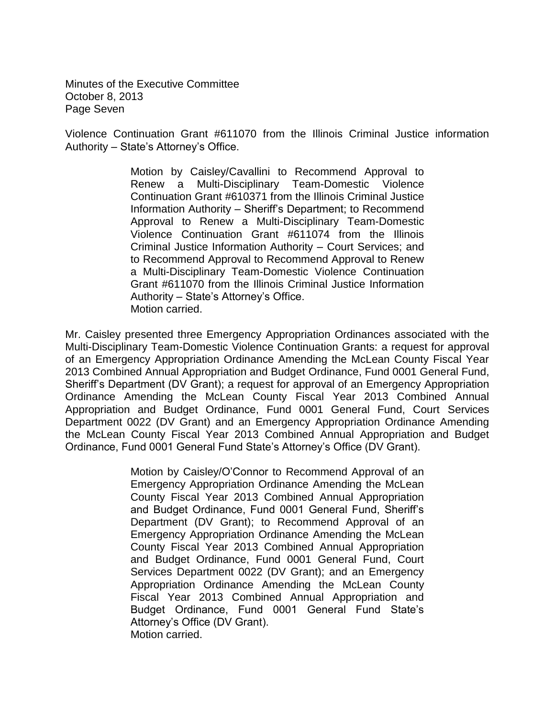Minutes of the Executive Committee October 8, 2013 Page Seven

Violence Continuation Grant #611070 from the Illinois Criminal Justice information Authority – State's Attorney's Office.

> Motion by Caisley/Cavallini to Recommend Approval to Renew a Multi-Disciplinary Team-Domestic Violence Continuation Grant #610371 from the Illinois Criminal Justice Information Authority – Sheriff's Department; to Recommend Approval to Renew a Multi-Disciplinary Team-Domestic Violence Continuation Grant #611074 from the Illinois Criminal Justice Information Authority – Court Services; and to Recommend Approval to Recommend Approval to Renew a Multi-Disciplinary Team-Domestic Violence Continuation Grant #611070 from the Illinois Criminal Justice Information Authority – State's Attorney's Office. Motion carried.

Mr. Caisley presented three Emergency Appropriation Ordinances associated with the Multi-Disciplinary Team-Domestic Violence Continuation Grants: a request for approval of an Emergency Appropriation Ordinance Amending the McLean County Fiscal Year 2013 Combined Annual Appropriation and Budget Ordinance, Fund 0001 General Fund, Sheriff's Department (DV Grant); a request for approval of an Emergency Appropriation Ordinance Amending the McLean County Fiscal Year 2013 Combined Annual Appropriation and Budget Ordinance, Fund 0001 General Fund, Court Services Department 0022 (DV Grant) and an Emergency Appropriation Ordinance Amending the McLean County Fiscal Year 2013 Combined Annual Appropriation and Budget Ordinance, Fund 0001 General Fund State's Attorney's Office (DV Grant).

> Motion by Caisley/O'Connor to Recommend Approval of an Emergency Appropriation Ordinance Amending the McLean County Fiscal Year 2013 Combined Annual Appropriation and Budget Ordinance, Fund 0001 General Fund, Sheriff's Department (DV Grant); to Recommend Approval of an Emergency Appropriation Ordinance Amending the McLean County Fiscal Year 2013 Combined Annual Appropriation and Budget Ordinance, Fund 0001 General Fund, Court Services Department 0022 (DV Grant); and an Emergency Appropriation Ordinance Amending the McLean County Fiscal Year 2013 Combined Annual Appropriation and Budget Ordinance, Fund 0001 General Fund State's Attorney's Office (DV Grant). Motion carried.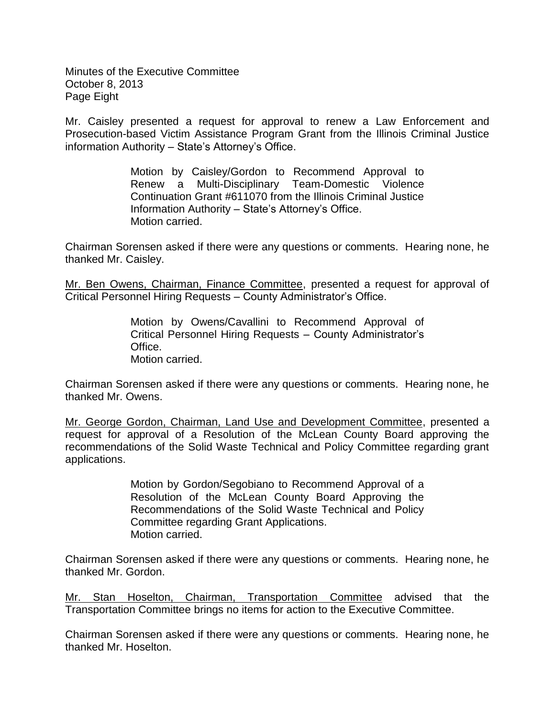Minutes of the Executive Committee October 8, 2013 Page Eight

Mr. Caisley presented a request for approval to renew a Law Enforcement and Prosecution-based Victim Assistance Program Grant from the Illinois Criminal Justice information Authority – State's Attorney's Office.

> Motion by Caisley/Gordon to Recommend Approval to Renew a Multi-Disciplinary Team-Domestic Violence Continuation Grant #611070 from the Illinois Criminal Justice Information Authority – State's Attorney's Office. Motion carried.

Chairman Sorensen asked if there were any questions or comments. Hearing none, he thanked Mr. Caisley.

Mr. Ben Owens, Chairman, Finance Committee, presented a request for approval of Critical Personnel Hiring Requests – County Administrator's Office.

> Motion by Owens/Cavallini to Recommend Approval of Critical Personnel Hiring Requests – County Administrator's Office. Motion carried.

Chairman Sorensen asked if there were any questions or comments. Hearing none, he thanked Mr. Owens.

Mr. George Gordon, Chairman, Land Use and Development Committee, presented a request for approval of a Resolution of the McLean County Board approving the recommendations of the Solid Waste Technical and Policy Committee regarding grant applications.

> Motion by Gordon/Segobiano to Recommend Approval of a Resolution of the McLean County Board Approving the Recommendations of the Solid Waste Technical and Policy Committee regarding Grant Applications. Motion carried.

Chairman Sorensen asked if there were any questions or comments. Hearing none, he thanked Mr. Gordon.

Mr. Stan Hoselton, Chairman, Transportation Committee advised that the Transportation Committee brings no items for action to the Executive Committee.

Chairman Sorensen asked if there were any questions or comments. Hearing none, he thanked Mr. Hoselton.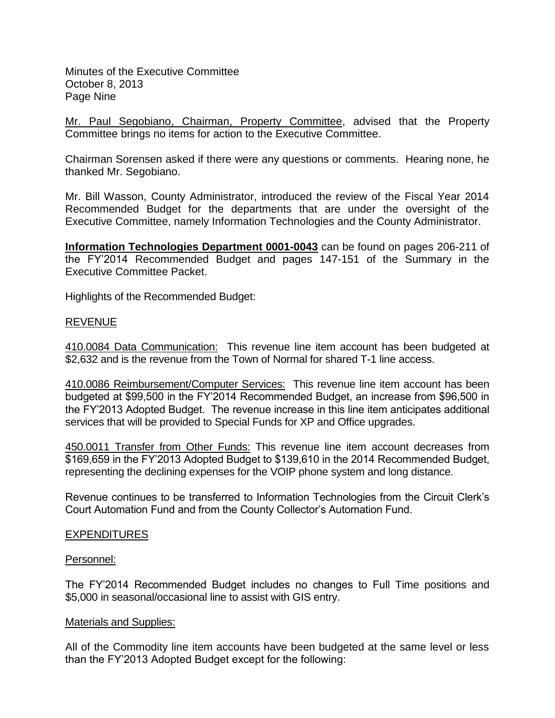Minutes of the Executive Committee October 8, 2013 Page Nine

Mr. Paul Segobiano, Chairman, Property Committee, advised that the Property Committee brings no items for action to the Executive Committee.

Chairman Sorensen asked if there were any questions or comments. Hearing none, he thanked Mr. Segobiano.

Mr. Bill Wasson, County Administrator, introduced the review of the Fiscal Year 2014 Recommended Budget for the departments that are under the oversight of the Executive Committee, namely Information Technologies and the County Administrator.

**Information Technologies Department 0001-0043** can be found on pages 206-211 of the FY'2014 Recommended Budget and pages 147-151 of the Summary in the Executive Committee Packet.

Highlights of the Recommended Budget:

# REVENUE

410.0084 Data Communication: This revenue line item account has been budgeted at \$2,632 and is the revenue from the Town of Normal for shared T-1 line access.

410.0086 Reimbursement/Computer Services: This revenue line item account has been budgeted at \$99,500 in the FY'2014 Recommended Budget, an increase from \$96,500 in the FY'2013 Adopted Budget. The revenue increase in this line item anticipates additional services that will be provided to Special Funds for XP and Office upgrades.

450.0011 Transfer from Other Funds: This revenue line item account decreases from \$169,659 in the FY'2013 Adopted Budget to \$139,610 in the 2014 Recommended Budget, representing the declining expenses for the VOIP phone system and long distance.

Revenue continues to be transferred to Information Technologies from the Circuit Clerk's Court Automation Fund and from the County Collector's Automation Fund.

### EXPENDITURES

### Personnel:

The FY'2014 Recommended Budget includes no changes to Full Time positions and \$5,000 in seasonal/occasional line to assist with GIS entry.

### Materials and Supplies:

All of the Commodity line item accounts have been budgeted at the same level or less than the FY'2013 Adopted Budget except for the following: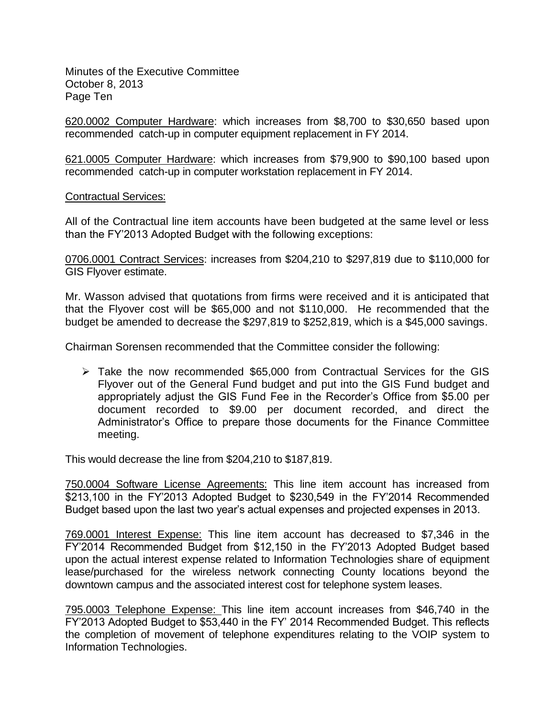Minutes of the Executive Committee October 8, 2013 Page Ten

620.0002 Computer Hardware: which increases from \$8,700 to \$30,650 based upon recommended catch-up in computer equipment replacement in FY 2014.

621.0005 Computer Hardware: which increases from \$79,900 to \$90,100 based upon recommended catch-up in computer workstation replacement in FY 2014.

Contractual Services:

All of the Contractual line item accounts have been budgeted at the same level or less than the FY'2013 Adopted Budget with the following exceptions:

0706.0001 Contract Services: increases from \$204,210 to \$297,819 due to \$110,000 for GIS Flyover estimate.

Mr. Wasson advised that quotations from firms were received and it is anticipated that that the Flyover cost will be \$65,000 and not \$110,000. He recommended that the budget be amended to decrease the \$297,819 to \$252,819, which is a \$45,000 savings.

Chairman Sorensen recommended that the Committee consider the following:

 $\triangleright$  Take the now recommended \$65,000 from Contractual Services for the GIS Flyover out of the General Fund budget and put into the GIS Fund budget and appropriately adjust the GIS Fund Fee in the Recorder's Office from \$5.00 per document recorded to \$9.00 per document recorded, and direct the Administrator's Office to prepare those documents for the Finance Committee meeting.

This would decrease the line from \$204,210 to \$187,819.

750.0004 Software License Agreements: This line item account has increased from \$213,100 in the FY'2013 Adopted Budget to \$230,549 in the FY'2014 Recommended Budget based upon the last two year's actual expenses and projected expenses in 2013.

769.0001 Interest Expense: This line item account has decreased to \$7,346 in the FY'2014 Recommended Budget from \$12,150 in the FY'2013 Adopted Budget based upon the actual interest expense related to Information Technologies share of equipment lease/purchased for the wireless network connecting County locations beyond the downtown campus and the associated interest cost for telephone system leases.

795.0003 Telephone Expense: This line item account increases from \$46,740 in the FY'2013 Adopted Budget to \$53,440 in the FY' 2014 Recommended Budget. This reflects the completion of movement of telephone expenditures relating to the VOIP system to Information Technologies.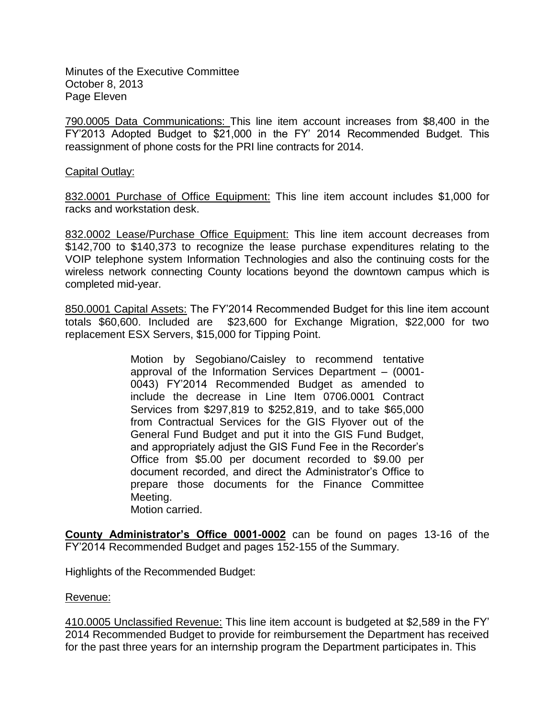Minutes of the Executive Committee October 8, 2013 Page Eleven

790.0005 Data Communications: This line item account increases from \$8,400 in the FY'2013 Adopted Budget to \$21,000 in the FY' 2014 Recommended Budget. This reassignment of phone costs for the PRI line contracts for 2014.

# Capital Outlay:

832.0001 Purchase of Office Equipment: This line item account includes \$1,000 for racks and workstation desk.

832.0002 Lease/Purchase Office Equipment: This line item account decreases from \$142,700 to \$140,373 to recognize the lease purchase expenditures relating to the VOIP telephone system Information Technologies and also the continuing costs for the wireless network connecting County locations beyond the downtown campus which is completed mid-year.

850.0001 Capital Assets: The FY'2014 Recommended Budget for this line item account totals \$60,600. Included are \$23,600 for Exchange Migration, \$22,000 for two replacement ESX Servers, \$15,000 for Tipping Point.

> Motion by Segobiano/Caisley to recommend tentative approval of the Information Services Department – (0001- 0043) FY'2014 Recommended Budget as amended to include the decrease in Line Item 0706.0001 Contract Services from \$297,819 to \$252,819, and to take \$65,000 from Contractual Services for the GIS Flyover out of the General Fund Budget and put it into the GIS Fund Budget, and appropriately adjust the GIS Fund Fee in the Recorder's Office from \$5.00 per document recorded to \$9.00 per document recorded, and direct the Administrator's Office to prepare those documents for the Finance Committee Meeting.

Motion carried.

**County Administrator's Office 0001-0002** can be found on pages 13-16 of the FY'2014 Recommended Budget and pages 152-155 of the Summary.

Highlights of the Recommended Budget:

### Revenue:

410.0005 Unclassified Revenue: This line item account is budgeted at \$2,589 in the FY' 2014 Recommended Budget to provide for reimbursement the Department has received for the past three years for an internship program the Department participates in. This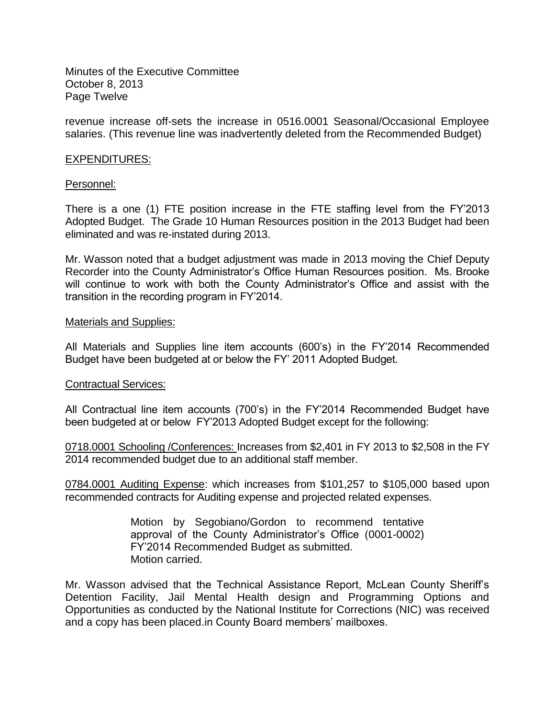Minutes of the Executive Committee October 8, 2013 Page Twelve

revenue increase off-sets the increase in 0516.0001 Seasonal/Occasional Employee salaries. (This revenue line was inadvertently deleted from the Recommended Budget)

### EXPENDITURES:

#### Personnel:

There is a one (1) FTE position increase in the FTE staffing level from the FY'2013 Adopted Budget. The Grade 10 Human Resources position in the 2013 Budget had been eliminated and was re-instated during 2013.

Mr. Wasson noted that a budget adjustment was made in 2013 moving the Chief Deputy Recorder into the County Administrator's Office Human Resources position. Ms. Brooke will continue to work with both the County Administrator's Office and assist with the transition in the recording program in FY'2014.

#### Materials and Supplies:

All Materials and Supplies line item accounts (600's) in the FY'2014 Recommended Budget have been budgeted at or below the FY' 2011 Adopted Budget.

### Contractual Services:

All Contractual line item accounts (700's) in the FY'2014 Recommended Budget have been budgeted at or below FY'2013 Adopted Budget except for the following:

0718.0001 Schooling /Conferences: Increases from \$2,401 in FY 2013 to \$2,508 in the FY 2014 recommended budget due to an additional staff member.

0784.0001 Auditing Expense: which increases from \$101,257 to \$105,000 based upon recommended contracts for Auditing expense and projected related expenses.

> Motion by Segobiano/Gordon to recommend tentative approval of the County Administrator's Office (0001-0002) FY'2014 Recommended Budget as submitted. Motion carried.

Mr. Wasson advised that the Technical Assistance Report, McLean County Sheriff's Detention Facility, Jail Mental Health design and Programming Options and Opportunities as conducted by the National Institute for Corrections (NIC) was received and a copy has been placed.in County Board members' mailboxes.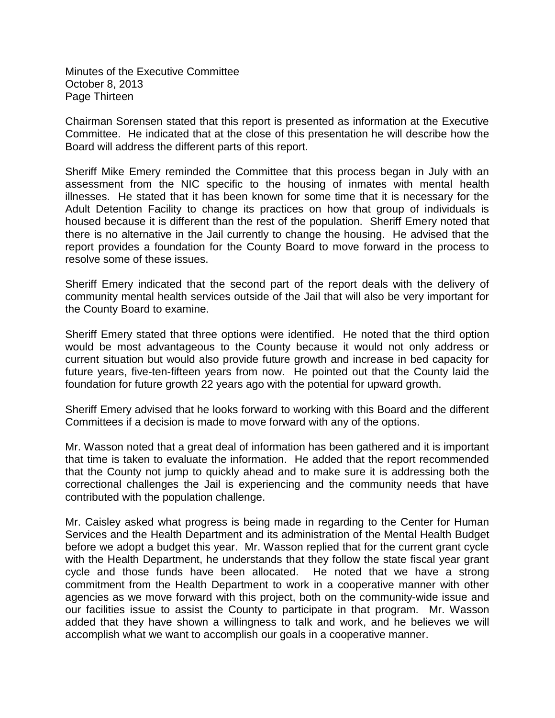Minutes of the Executive Committee October 8, 2013 Page Thirteen

Chairman Sorensen stated that this report is presented as information at the Executive Committee. He indicated that at the close of this presentation he will describe how the Board will address the different parts of this report.

Sheriff Mike Emery reminded the Committee that this process began in July with an assessment from the NIC specific to the housing of inmates with mental health illnesses. He stated that it has been known for some time that it is necessary for the Adult Detention Facility to change its practices on how that group of individuals is housed because it is different than the rest of the population. Sheriff Emery noted that there is no alternative in the Jail currently to change the housing. He advised that the report provides a foundation for the County Board to move forward in the process to resolve some of these issues.

Sheriff Emery indicated that the second part of the report deals with the delivery of community mental health services outside of the Jail that will also be very important for the County Board to examine.

Sheriff Emery stated that three options were identified. He noted that the third option would be most advantageous to the County because it would not only address or current situation but would also provide future growth and increase in bed capacity for future years, five-ten-fifteen years from now. He pointed out that the County laid the foundation for future growth 22 years ago with the potential for upward growth.

Sheriff Emery advised that he looks forward to working with this Board and the different Committees if a decision is made to move forward with any of the options.

Mr. Wasson noted that a great deal of information has been gathered and it is important that time is taken to evaluate the information. He added that the report recommended that the County not jump to quickly ahead and to make sure it is addressing both the correctional challenges the Jail is experiencing and the community needs that have contributed with the population challenge.

Mr. Caisley asked what progress is being made in regarding to the Center for Human Services and the Health Department and its administration of the Mental Health Budget before we adopt a budget this year. Mr. Wasson replied that for the current grant cycle with the Health Department, he understands that they follow the state fiscal year grant cycle and those funds have been allocated. He noted that we have a strong commitment from the Health Department to work in a cooperative manner with other agencies as we move forward with this project, both on the community-wide issue and our facilities issue to assist the County to participate in that program. Mr. Wasson added that they have shown a willingness to talk and work, and he believes we will accomplish what we want to accomplish our goals in a cooperative manner.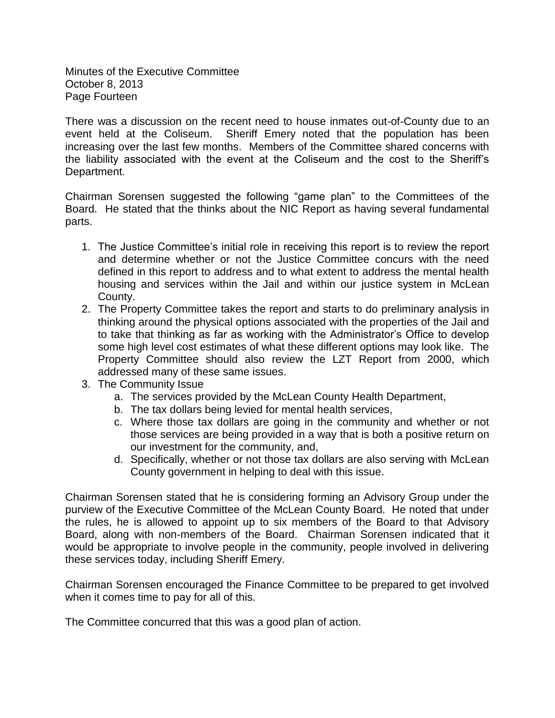Minutes of the Executive Committee October 8, 2013 Page Fourteen

There was a discussion on the recent need to house inmates out-of-County due to an event held at the Coliseum. Sheriff Emery noted that the population has been increasing over the last few months. Members of the Committee shared concerns with the liability associated with the event at the Coliseum and the cost to the Sheriff's Department.

Chairman Sorensen suggested the following "game plan" to the Committees of the Board. He stated that the thinks about the NIC Report as having several fundamental parts.

- 1. The Justice Committee's initial role in receiving this report is to review the report and determine whether or not the Justice Committee concurs with the need defined in this report to address and to what extent to address the mental health housing and services within the Jail and within our justice system in McLean County.
- 2. The Property Committee takes the report and starts to do preliminary analysis in thinking around the physical options associated with the properties of the Jail and to take that thinking as far as working with the Administrator's Office to develop some high level cost estimates of what these different options may look like. The Property Committee should also review the LZT Report from 2000, which addressed many of these same issues.
- 3. The Community Issue
	- a. The services provided by the McLean County Health Department,
	- b. The tax dollars being levied for mental health services,
	- c. Where those tax dollars are going in the community and whether or not those services are being provided in a way that is both a positive return on our investment for the community, and,
	- d. Specifically, whether or not those tax dollars are also serving with McLean County government in helping to deal with this issue.

Chairman Sorensen stated that he is considering forming an Advisory Group under the purview of the Executive Committee of the McLean County Board. He noted that under the rules, he is allowed to appoint up to six members of the Board to that Advisory Board, along with non-members of the Board. Chairman Sorensen indicated that it would be appropriate to involve people in the community, people involved in delivering these services today, including Sheriff Emery.

Chairman Sorensen encouraged the Finance Committee to be prepared to get involved when it comes time to pay for all of this.

The Committee concurred that this was a good plan of action.